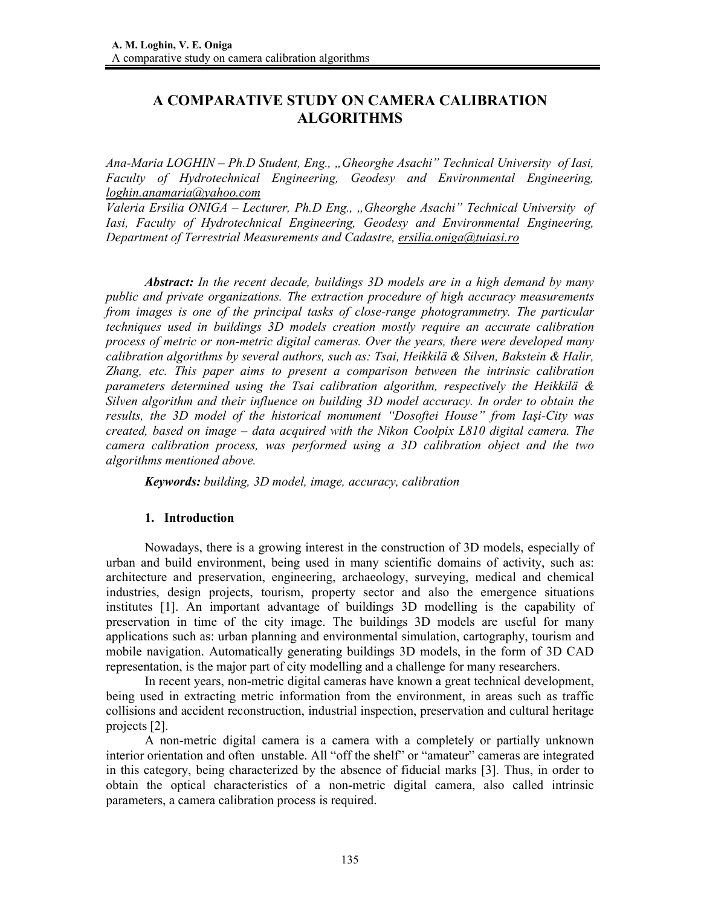# **A COMPARATIVE STUDY ON CAMERA CALIBRATION ALGORITHMS**

*Ana-Maria LOGHIN – Ph.D Student, Eng., "Gheorghe Asachi" Technical University of Iasi, Faculty of Hydrotechnical Engineering, Geodesy and Environmental Engineering, loghin.anamaria@yahoo.com*

*Valeria Ersilia ONIGA – Lecturer, Ph.D Eng., "Gheorghe Asachi" Technical University of Iasi, Faculty of Hydrotechnical Engineering, Geodesy and Environmental Engineering, Department of Terrestrial Measurements and Cadastre, ersilia.oniga@tuiasi.ro*

*Abstract: In the recent decade, buildings 3D models are in a high demand by many public and private organizations. The extraction procedure of high accuracy measurements from images is one of the principal tasks of close-range photogrammetry. The particular techniques used in buildings 3D models creation mostly require an accurate calibration process of metric or non-metric digital cameras. Over the years, there were developed many calibration algorithms by several authors, such as: Tsai, Heikkilä & Silven, Bakstein & Halir, Zhang, etc. This paper aims to present a comparison between the intrinsic calibration parameters determined using the Tsai calibration algorithm, respectively the Heikkilä & Silven algorithm and their influence on building 3D model accuracy. In order to obtain the results, the 3D model of the historical monument "Dosoftei House" from Iaşi-City was created, based on image – data acquired with the Nikon Coolpix L810 digital camera. The camera calibration process, was performed using a 3D calibration object and the two algorithms mentioned above.* 

*Keywords: building, 3D model, image, accuracy, calibration*

#### **1. Introduction**

Nowadays, there is a growing interest in the construction of 3D models, especially of urban and build environment, being used in many scientific domains of activity, such as: architecture and preservation, engineering, archaeology, surveying, medical and chemical industries, design projects, tourism, property sector and also the emergence situations institutes [1]. An important advantage of buildings 3D modelling is the capability of preservation in time of the city image. The buildings 3D models are useful for many applications such as: urban planning and environmental simulation, cartography, tourism and mobile navigation. Automatically generating buildings 3D models, in the form of 3D CAD representation, is the major part of city modelling and a challenge for many researchers.

In recent years, non-metric digital cameras have known a great technical development, being used in extracting metric information from the environment, in areas such as traffic collisions and accident reconstruction, industrial inspection, preservation and cultural heritage projects [2].

A non-metric digital camera is a camera with a completely or partially unknown interior orientation and often unstable. All "off the shelf" or "amateur" cameras are integrated in this category, being characterized by the absence of fiducial marks [3]. Thus, in order to obtain the optical characteristics of a non-metric digital camera, also called intrinsic parameters, a camera calibration process is required.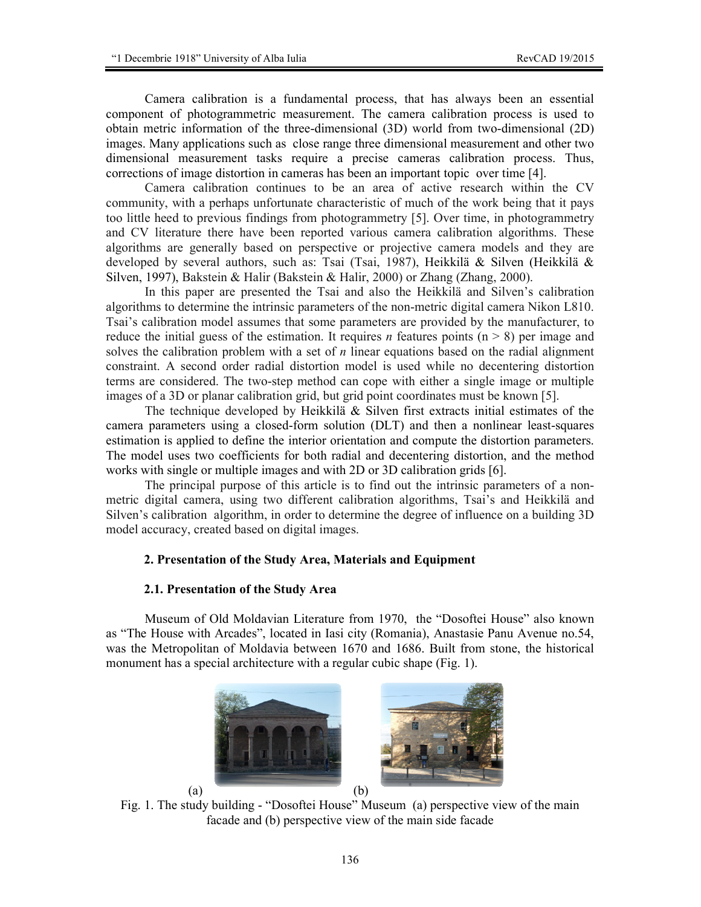Camera calibration is a fundamental process, that has always been an essential component of photogrammetric measurement. The camera calibration process is used to obtain metric information of the three-dimensional (3D) world from two-dimensional (2D) images. Many applications such as close range three dimensional measurement and other two dimensional measurement tasks require a precise cameras calibration process. Thus, corrections of image distortion in cameras has been an important topic over time [4].

Camera calibration continues to be an area of active research within the CV community, with a perhaps unfortunate characteristic of much of the work being that it pays too little heed to previous findings from photogrammetry [5]. Over time, in photogrammetry and CV literature there have been reported various camera calibration algorithms. These algorithms are generally based on perspective or projective camera models and they are developed by several authors, such as: Tsai (Tsai, 1987), Heikkilä & Silven (Heikkilä & Silven, 1997), Bakstein & Halir (Bakstein & Halir, 2000) or Zhang (Zhang, 2000).

In this paper are presented the Tsai and also the Heikkilä and Silven's calibration algorithms to determine the intrinsic parameters of the non-metric digital camera Nikon L810. Tsai's calibration model assumes that some parameters are provided by the manufacturer, to reduce the initial guess of the estimation. It requires *n* features points  $(n \geq 8)$  per image and solves the calibration problem with a set of *n* linear equations based on the radial alignment constraint. A second order radial distortion model is used while no decentering distortion terms are considered. The two-step method can cope with either a single image or multiple images of a 3D or planar calibration grid, but grid point coordinates must be known [5].

The technique developed by Heikkilä & Silven first extracts initial estimates of the camera parameters using a closed-form solution (DLT) and then a nonlinear least-squares estimation is applied to define the interior orientation and compute the distortion parameters. The model uses two coefficients for both radial and decentering distortion, and the method works with single or multiple images and with 2D or 3D calibration grids [6].

The principal purpose of this article is to find out the intrinsic parameters of a nonmetric digital camera, using two different calibration algorithms, Tsai's and Heikkilä and Silven's calibration algorithm, in order to determine the degree of influence on a building 3D model accuracy, created based on digital images.

### **2. Presentation of the Study Area, Materials and Equipment**

### **2.1. Presentation of the Study Area**

Museum of Old Moldavian Literature from 1970, the "Dosoftei House" also known as "The House with Arcades", located in Iasi city (Romania), Anastasie Panu Avenue no.54, was the Metropolitan of Moldavia between 1670 and 1686. Built from stone, the historical monument has a special architecture with a regular cubic shape (Fig. 1).



Fig. 1. The study building - "Dosoftei House" Museum (a) perspective view of the main facade and (b) perspective view of the main side facade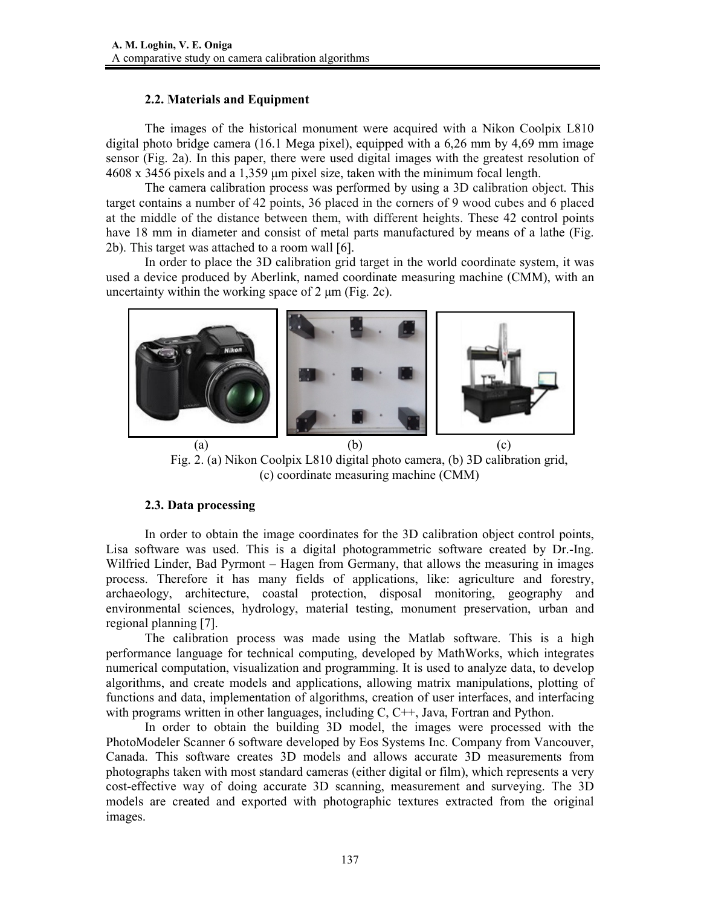## **2.2. Materials and Equipment**

 The images of the historical monument were acquired with a Nikon Coolpix L810 digital photo bridge camera (16.1 Mega pixel), equipped with a 6,26 mm by 4,69 mm image sensor (Fig. 2a). In this paper, there were used digital images with the greatest resolution of  $4608 \times 3456$  pixels and a 1,359 µm pixel size, taken with the minimum focal length.

The camera calibration process was performed by using a 3D calibration object. This target contains a number of 42 points, 36 placed in the corners of 9 wood cubes and 6 placed at the middle of the distance between them, with different heights. These 42 control points have 18 mm in diameter and consist of metal parts manufactured by means of a lathe (Fig. 2b). This target was attached to a room wall [6].

In order to place the 3D calibration grid target in the world coordinate system, it was used a device produced by Aberlink, named coordinate measuring machine (CMM), with an uncertainty within the working space of  $2 \mu m$  (Fig. 2c).



Fig. 2. (a) Nikon Coolpix L810 digital photo camera, (b) 3D calibration grid, (c) coordinate measuring machine (CMM)

## **2.3. Data processing**

 In order to obtain the image coordinates for the 3D calibration object control points, Lisa software was used. This is a digital photogrammetric software created by Dr.-Ing. Wilfried Linder, Bad Pyrmont – Hagen from Germany, that allows the measuring in images process. Therefore it has many fields of applications, like: agriculture and forestry, archaeology, architecture, coastal protection, disposal monitoring, geography and environmental sciences, hydrology, material testing, monument preservation, urban and regional planning [7].

The calibration process was made using the Matlab software. This is a high performance language for technical computing, developed by MathWorks, which integrates numerical computation, visualization and programming. It is used to analyze data, to develop algorithms, and create models and applications, allowing matrix manipulations, plotting of functions and data, implementation of algorithms, creation of user interfaces, and interfacing with programs written in other languages, including C, C++, Java, Fortran and Python.

In order to obtain the building 3D model, the images were processed with the PhotoModeler Scanner 6 software developed by Eos Systems Inc. Company from Vancouver, Canada. This software creates 3D models and allows accurate 3D measurements from photographs taken with most standard cameras (either digital or film), which represents a very cost-effective way of doing accurate 3D scanning, measurement and surveying. The 3D models are created and exported with photographic textures extracted from the original images.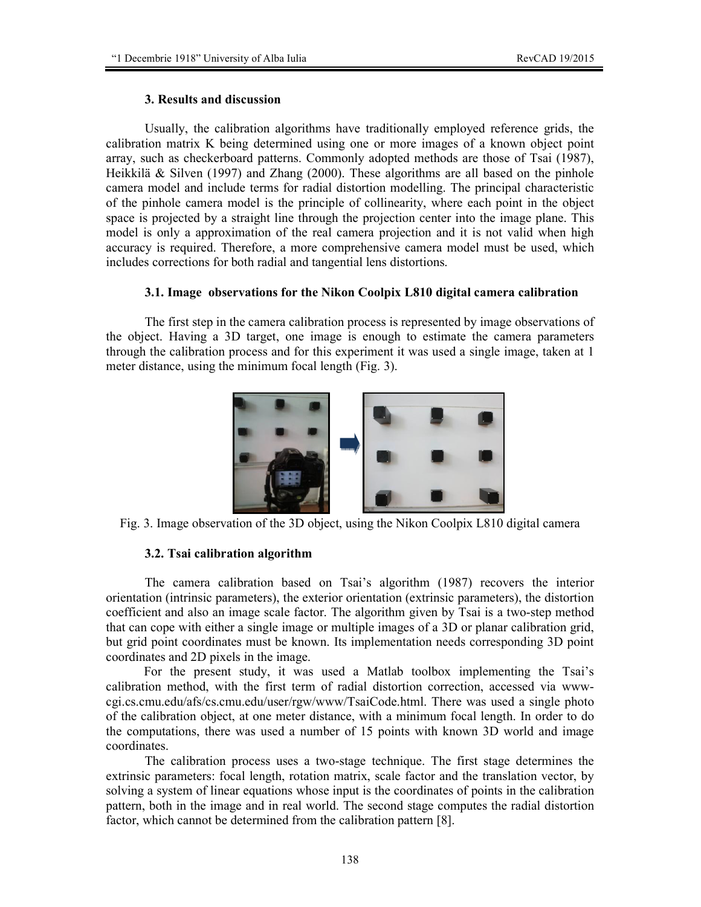## **3. Results and discussion**

Usually, the calibration algorithms have traditionally employed reference grids, the calibration matrix K being determined using one or more images of a known object point array, such as checkerboard patterns. Commonly adopted methods are those of Tsai (1987), Heikkilä & Silven (1997) and Zhang (2000). These algorithms are all based on the pinhole camera model and include terms for radial distortion modelling. The principal characteristic of the pinhole camera model is the principle of collinearity, where each point in the object space is projected by a straight line through the projection center into the image plane. This model is only a approximation of the real camera projection and it is not valid when high accuracy is required. Therefore, a more comprehensive camera model must be used, which includes corrections for both radial and tangential lens distortions.

## **3.1. Image observations for the Nikon Coolpix L810 digital camera calibration**

The first step in the camera calibration process is represented by image observations of the object. Having a 3D target, one image is enough to estimate the camera parameters through the calibration process and for this experiment it was used a single image, taken at 1 meter distance, using the minimum focal length (Fig. 3).



Fig. 3. Image observation of the 3D object, using the Nikon Coolpix L810 digital camera

## **3.2. Tsai calibration algorithm**

 The camera calibration based on Tsai's algorithm (1987) recovers the interior orientation (intrinsic parameters), the exterior orientation (extrinsic parameters), the distortion coefficient and also an image scale factor. The algorithm given by Tsai is a two-step method that can cope with either a single image or multiple images of a 3D or planar calibration grid, but grid point coordinates must be known. Its implementation needs corresponding 3D point coordinates and 2D pixels in the image.

For the present study, it was used a Matlab toolbox implementing the Tsai's calibration method, with the first term of radial distortion correction, accessed via wwwcgi.cs.cmu.edu/afs/cs.cmu.edu/user/rgw/www/TsaiCode.html. There was used a single photo of the calibration object, at one meter distance, with a minimum focal length. In order to do the computations, there was used a number of 15 points with known 3D world and image coordinates.

 The calibration process uses a two-stage technique. The first stage determines the extrinsic parameters: focal length, rotation matrix, scale factor and the translation vector, by solving a system of linear equations whose input is the coordinates of points in the calibration pattern, both in the image and in real world. The second stage computes the radial distortion factor, which cannot be determined from the calibration pattern [8].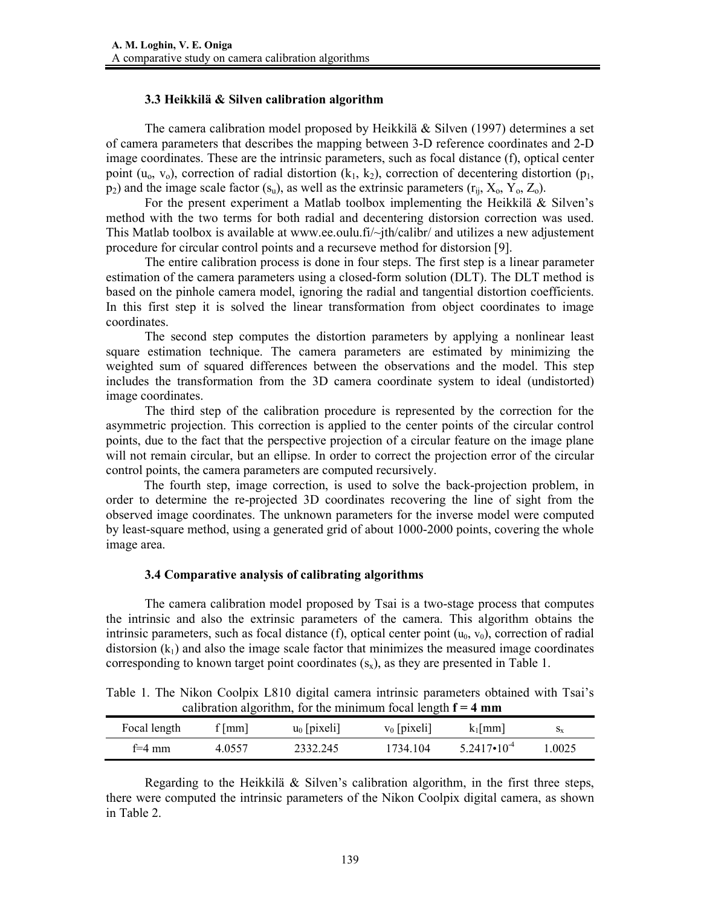## **3.3 Heikkilä & Silven calibration algorithm**

The camera calibration model proposed by Heikkilä  $\&$  Silven (1997) determines a set of camera parameters that describes the mapping between 3-D reference coordinates and 2-D image coordinates. These are the intrinsic parameters, such as focal distance (f), optical center point ( $u_0$ ,  $v_0$ ), correction of radial distortion ( $k_1$ ,  $k_2$ ), correction of decentering distortion ( $p_1$ ,  $p_2$ ) and the image scale factor (s<sub>u</sub>), as well as the extrinsic parameters ( $r_{ii}$ ,  $X_0$ ,  $Y_0$ ,  $Z_0$ ).

For the present experiment a Matlab toolbox implementing the Heikkilä & Silven's method with the two terms for both radial and decentering distorsion correction was used. This Matlab toolbox is available at www.ee.oulu.fi/~jth/calibr/ and utilizes a new adjustement procedure for circular control points and a recurseve method for distorsion [9].

The entire calibration process is done in four steps. The first step is a linear parameter estimation of the camera parameters using a closed-form solution (DLT). The DLT method is based on the pinhole camera model, ignoring the radial and tangential distortion coefficients. In this first step it is solved the linear transformation from object coordinates to image coordinates.

The second step computes the distortion parameters by applying a nonlinear least square estimation technique. The camera parameters are estimated by minimizing the weighted sum of squared differences between the observations and the model. This step includes the transformation from the 3D camera coordinate system to ideal (undistorted) image coordinates.

The third step of the calibration procedure is represented by the correction for the asymmetric projection. This correction is applied to the center points of the circular control points, due to the fact that the perspective projection of a circular feature on the image plane will not remain circular, but an ellipse. In order to correct the projection error of the circular control points, the camera parameters are computed recursively.

The fourth step, image correction, is used to solve the back-projection problem, in order to determine the re-projected 3D coordinates recovering the line of sight from the observed image coordinates. The unknown parameters for the inverse model were computed by least-square method, using a generated grid of about 1000-2000 points, covering the whole image area.

### **3.4 Comparative analysis of calibrating algorithms**

The camera calibration model proposed by Tsai is a two-stage process that computes the intrinsic and also the extrinsic parameters of the camera. This algorithm obtains the intrinsic parameters, such as focal distance (f), optical center point  $(u_0, v_0)$ , correction of radial distorsion  $(k_1)$  and also the image scale factor that minimizes the measured image coordinates corresponding to known target point coordinates  $(s_x)$ , as they are presented in Table 1.

|  |  |  |  | Table 1. The Nikon Coolpix L810 digital camera intrinsic parameters obtained with Tsai's |  |  |
|--|--|--|--|------------------------------------------------------------------------------------------|--|--|
|  |  |  |  | calibration algorithm, for the minimum focal length $f = 4$ mm                           |  |  |

|              | $\alpha$ canonation argument, for the minimum focal religion $\alpha$ |                |                |                        |         |
|--------------|-----------------------------------------------------------------------|----------------|----------------|------------------------|---------|
| Focal length | f   mm                                                                | $u_0$ [pixeli] | $v_0$ [pixeli] | $k_1$   mm             | $S_{X}$ |
| f=4 mm       | 4 0557                                                                | 2332.245       | 1734.104       | $5.2417 \cdot 10^{-4}$ | 1,0025  |

Regarding to the Heikkilä & Silven's calibration algorithm, in the first three steps, there were computed the intrinsic parameters of the Nikon Coolpix digital camera, as shown in Table 2.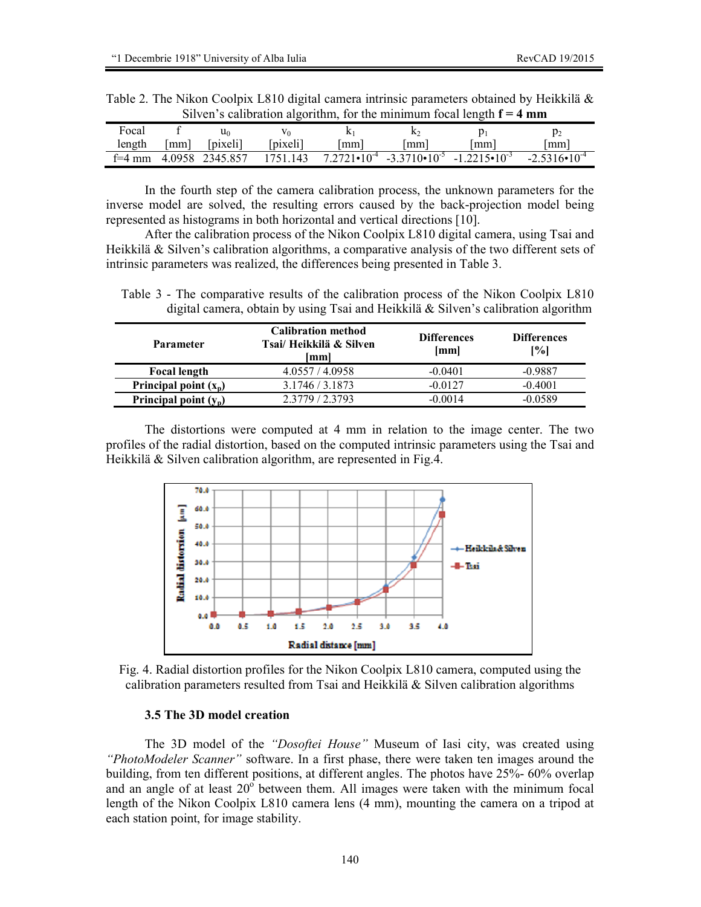| Silven's calibration algorithm, for the minimum focal length $f = 4$ mm |    |                            |          |    |      |                                                                        |                         |  |  |  |
|-------------------------------------------------------------------------|----|----------------------------|----------|----|------|------------------------------------------------------------------------|-------------------------|--|--|--|
| Focal                                                                   |    | u۵                         |          |    | ĸ٥   |                                                                        |                         |  |  |  |
| length                                                                  | mm | [pixeli]                   | [pixeli] | mm | mm I | l mm l                                                                 | mm l                    |  |  |  |
|                                                                         |    | $f=4$ mm $4.0958$ 2345.857 | 1751.143 |    |      | $7.2721 \cdot 10^{-4}$ $-3.3710 \cdot 10^{-5}$ $-1.2215 \cdot 10^{-3}$ | $-2.5316 \cdot 10^{-4}$ |  |  |  |

Table 2. The Nikon Coolpix L810 digital camera intrinsic parameters obtained by Heikkilä & Silven's calibration algorithm, for the minimum focal length **f = 4 mm** 

 In the fourth step of the camera calibration process, the unknown parameters for the inverse model are solved, the resulting errors caused by the back-projection model being represented as histograms in both horizontal and vertical directions [10].

After the calibration process of the Nikon Coolpix L810 digital camera, using Tsai and Heikkilä & Silven's calibration algorithms, a comparative analysis of the two different sets of intrinsic parameters was realized, the differences being presented in Table 3.

Table 3 - The comparative results of the calibration process of the Nikon Coolpix L810 digital camera, obtain by using Tsai and Heikkilä & Silven's calibration algorithm

| <b>Parameter</b>        | <b>Calibration method</b><br>Tsai/ Heikkilä & Silven<br>[mm] | <b>Differences</b><br>[mm] | <b>Differences</b><br>[%] |  |
|-------------------------|--------------------------------------------------------------|----------------------------|---------------------------|--|
| <b>Focal length</b>     | 4.0557/4.0958                                                | $-0.0401$                  | $-0.9887$                 |  |
| Principal point $(x_n)$ | 3.1746 / 3.1873                                              | $-0.0127$                  | $-0.4001$                 |  |
| Principal point $(y_p)$ | 2.3779/2.3793                                                | $-0.0014$                  | -0.0589                   |  |

The distortions were computed at 4 mm in relation to the image center. The two profiles of the radial distortion, based on the computed intrinsic parameters using the Tsai and Heikkilä & Silven calibration algorithm, are represented in Fig.4.



Fig. 4. Radial distortion profiles for the Nikon Coolpix L810 camera, computed using the calibration parameters resulted from Tsai and Heikkilä  $\&$  Silven calibration algorithms

### **3.5 The 3D model creation**

The 3D model of the *"Dosoftei House"* Museum of Iasi city, was created using *"PhotoModeler Scanner"* software. In a first phase, there were taken ten images around the building, from ten different positions, at different angles. The photos have 25%- 60% overlap and an angle of at least  $20^{\circ}$  between them. All images were taken with the minimum focal length of the Nikon Coolpix L810 camera lens (4 mm), mounting the camera on a tripod at each station point, for image stability.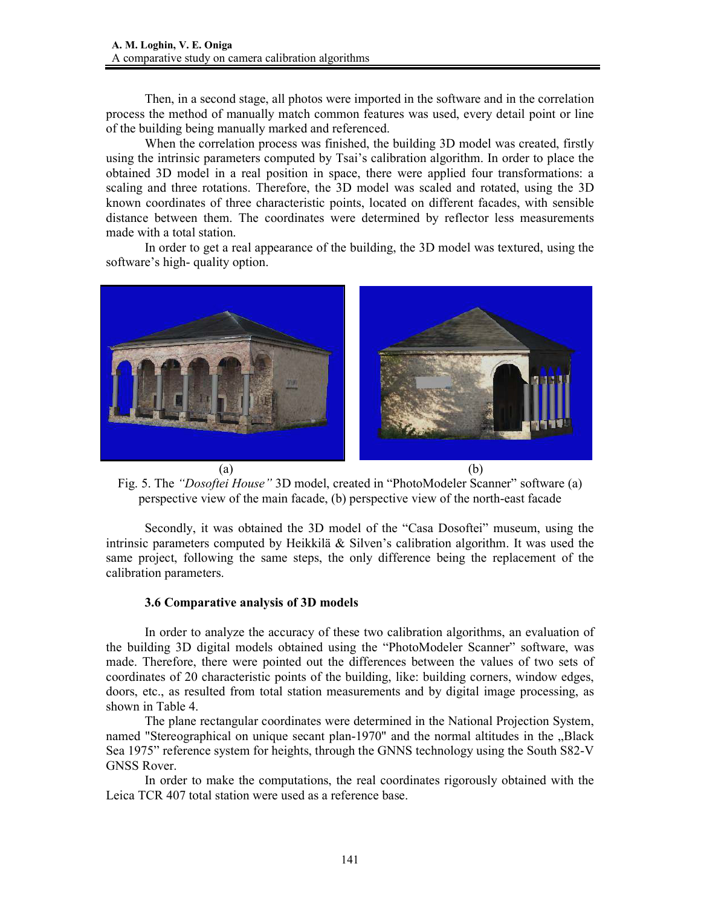Then, in a second stage, all photos were imported in the software and in the correlation process the method of manually match common features was used, every detail point or line of the building being manually marked and referenced.

When the correlation process was finished, the building 3D model was created, firstly using the intrinsic parameters computed by Tsai's calibration algorithm. In order to place the obtained 3D model in a real position in space, there were applied four transformations: a scaling and three rotations. Therefore, the 3D model was scaled and rotated, using the 3D known coordinates of three characteristic points, located on different facades, with sensible distance between them. The coordinates were determined by reflector less measurements made with a total station.

In order to get a real appearance of the building, the 3D model was textured, using the software's high- quality option.



Fig. 5. The *"Dosoftei House"* 3D model, created in "PhotoModeler Scanner" software (a) perspective view of the main facade, (b) perspective view of the north-east facade

Secondly, it was obtained the 3D model of the "Casa Dosoftei" museum, using the intrinsic parameters computed by Heikkilä & Silven's calibration algorithm. It was used the same project, following the same steps, the only difference being the replacement of the calibration parameters.

#### **3.6 Comparative analysis of 3D models**

In order to analyze the accuracy of these two calibration algorithms, an evaluation of the building 3D digital models obtained using the "PhotoModeler Scanner" software, was made. Therefore, there were pointed out the differences between the values of two sets of coordinates of 20 characteristic points of the building, like: building corners, window edges, doors, etc., as resulted from total station measurements and by digital image processing, as shown in Table 4.

The plane rectangular coordinates were determined in the National Projection System, named "Stereographical on unique secant plan-1970" and the normal altitudes in the "Black Sea 1975" reference system for heights, through the GNNS technology using the South S82-V GNSS Rover.

In order to make the computations, the real coordinates rigorously obtained with the Leica TCR 407 total station were used as a reference base.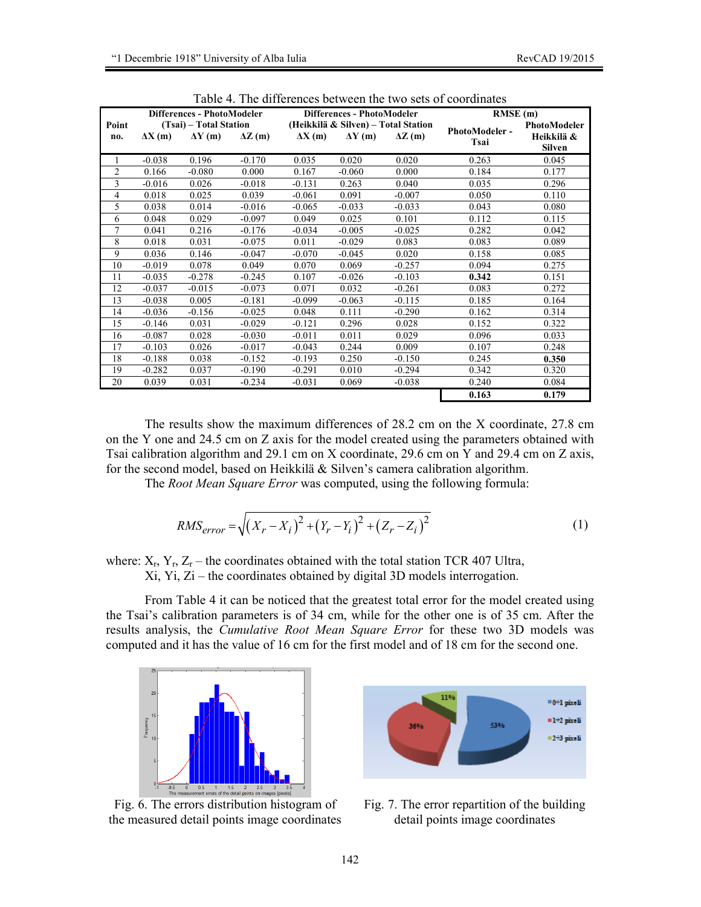|                |                        | Differences - PhotoModeler |               |               | Differences - PhotoModeler          |                | RMSE(m)               |               |  |
|----------------|------------------------|----------------------------|---------------|---------------|-------------------------------------|----------------|-----------------------|---------------|--|
| Point          | (Tsai) – Total Station |                            |               |               | (Heikkilä & Silven) - Total Station |                |                       | PhotoModeler  |  |
| no.            | $\Delta X(m)$          | $\Delta Y(m)$              | $\Delta Z(m)$ | $\Delta X(m)$ | $\Delta Y(m)$                       | $\Delta Z$ (m) | PhotoModeler-<br>Tsai | Heikkilä &    |  |
|                |                        |                            |               |               |                                     |                |                       | <b>Silven</b> |  |
| 1              | $-0.038$               | 0.196                      | $-0.170$      | 0.035         | 0.020                               | 0.020          | 0.263                 | 0.045         |  |
| $\overline{c}$ | 0.166                  | $-0.080$                   | 0.000         | 0.167         | $-0.060$                            | 0.000          | 0.184                 | 0.177         |  |
| 3              | $-0.016$               | 0.026                      | $-0.018$      | $-0.131$      | 0.263                               | 0.040          | 0.035                 | 0.296         |  |
| $\overline{4}$ | 0.018                  | 0.025                      | 0.039         | $-0.061$      | 0.091                               | $-0.007$       | 0.050                 | 0.110         |  |
| 5              | 0.038                  | 0.014                      | $-0.016$      | $-0.065$      | $-0.033$                            | $-0.033$       | 0.043                 | 0.080         |  |
| 6              | 0.048                  | 0.029                      | $-0.097$      | 0.049         | 0.025                               | 0.101          | 0.112                 | 0.115         |  |
| 7              | 0.041                  | 0.216                      | $-0.176$      | $-0.034$      | $-0.005$                            | $-0.025$       | 0.282                 | 0.042         |  |
| 8              | 0.018                  | 0.031                      | $-0.075$      | 0.011         | $-0.029$                            | 0.083          | 0.083                 | 0.089         |  |
| 9              | 0.036                  | 0.146                      | $-0.047$      | $-0.070$      | $-0.045$                            | 0.020          | 0.158                 | 0.085         |  |
| 10             | $-0.019$               | 0.078                      | 0.049         | 0.070         | 0.069                               | $-0.257$       | 0.094                 | 0.275         |  |
| 11             | $-0.035$               | $-0.278$                   | $-0.245$      | 0.107         | $-0.026$                            | $-0.103$       | 0.342                 | 0.151         |  |
| 12             | $-0.037$               | $-0.015$                   | $-0.073$      | 0.071         | 0.032                               | $-0.261$       | 0.083                 | 0.272         |  |
| 13             | $-0.038$               | 0.005                      | $-0.181$      | $-0.099$      | $-0.063$                            | $-0.115$       | 0.185                 | 0.164         |  |
| 14             | $-0.036$               | $-0.156$                   | $-0.025$      | 0.048         | 0.111                               | $-0.290$       | 0.162                 | 0.314         |  |
| 15             | $-0.146$               | 0.031                      | $-0.029$      | $-0.121$      | 0.296                               | 0.028          | 0.152                 | 0.322         |  |
| 16             | $-0.087$               | 0.028                      | $-0.030$      | $-0.011$      | 0.011                               | 0.029          | 0.096                 | 0.033         |  |
| 17             | $-0.103$               | 0.026                      | $-0.017$      | $-0.043$      | 0.244                               | 0.009          | 0.107                 | 0.248         |  |
| 18             | $-0.188$               | 0.038                      | $-0.152$      | $-0.193$      | 0.250                               | $-0.150$       | 0.245                 | 0.350         |  |
| 19             | $-0.282$               | 0.037                      | $-0.190$      | $-0.291$      | 0.010                               | $-0.294$       | 0.342                 | 0.320         |  |
| 20             | 0.039                  | 0.031                      | $-0.234$      | $-0.031$      | 0.069                               | $-0.038$       | 0.240                 | 0.084         |  |
|                |                        |                            |               |               |                                     |                | 0.163                 | 0.179         |  |

Table 4. The differences between the two sets of coordinates

The results show the maximum differences of 28.2 cm on the X coordinate, 27.8 cm on the Y one and 24.5 cm on Z axis for the model created using the parameters obtained with Tsai calibration algorithm and 29.1 cm on X coordinate, 29.6 cm on Y and 29.4 cm on Z axis, for the second model, based on Heikkilä & Silven's camera calibration algorithm.

The *Root Mean Square Error* was computed, using the following formula:

$$
RMS_{error} = \sqrt{(X_r - X_i)^2 + (Y_r - Y_i)^2 + (Z_r - Z_i)^2}
$$
 (1)

where:  $X_r$ ,  $Y_r$ ,  $Z_r$  – the coordinates obtained with the total station TCR 407 Ultra, Xi, Yi, Zi – the coordinates obtained by digital 3D models interrogation.

 From Table 4 it can be noticed that the greatest total error for the model created using the Tsai's calibration parameters is of 34 cm, while for the other one is of 35 cm. After the results analysis, the *Cumulative Root Mean Square Error* for these two 3D models was computed and it has the value of 16 cm for the first model and of 18 cm for the second one.



Fig. 6. The errors distribution histogram of the measured detail points image coordinates



Fig. 7. The error repartition of the building detail points image coordinates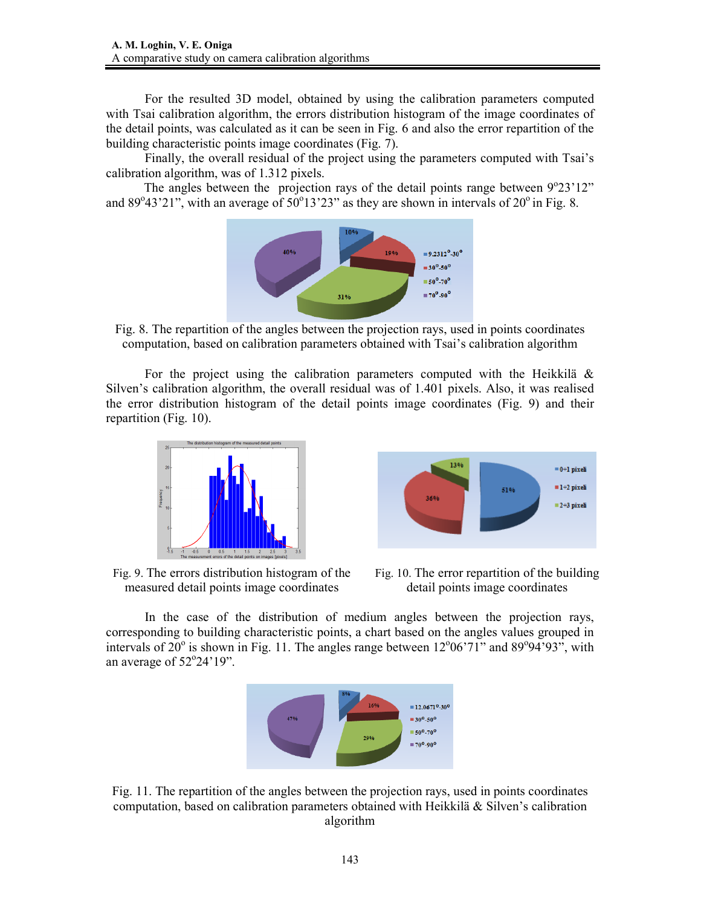For the resulted 3D model, obtained by using the calibration parameters computed with Tsai calibration algorithm, the errors distribution histogram of the image coordinates of the detail points, was calculated as it can be seen in Fig. 6 and also the error repartition of the building characteristic points image coordinates (Fig. 7).

Finally, the overall residual of the project using the parameters computed with Tsai's calibration algorithm, was of 1.312 pixels.

The angles between the projection rays of the detail points range between  $9^{\circ}23'12''$ and  $89^{\circ}43'21''$ , with an average of  $50^{\circ}13'23''$  as they are shown in intervals of  $20^{\circ}$  in Fig. 8.



Fig. 8. The repartition of the angles between the projection rays, used in points coordinates computation, based on calibration parameters obtained with Tsai's calibration algorithm

For the project using the calibration parameters computed with the Heikkilä  $\&$ Silven's calibration algorithm, the overall residual was of 1.401 pixels. Also, it was realised the error distribution histogram of the detail points image coordinates (Fig. 9) and their repartition (Fig. 10).



Fig. 9. The errors distribution histogram of the measured detail points image coordinates



Fig. 10. The error repartition of the building detail points image coordinates

In the case of the distribution of medium angles between the projection rays, corresponding to building characteristic points, a chart based on the angles values grouped in intervals of  $20^{\circ}$  is shown in Fig. 11. The angles range between  $12^{\circ}06'71'$  and  $89^{\circ}94'93''$ , with an average of  $52^{\circ}24'19"$ .



Fig. 11. The repartition of the angles between the projection rays, used in points coordinates computation, based on calibration parameters obtained with Heikkilä & Silven's calibration algorithm